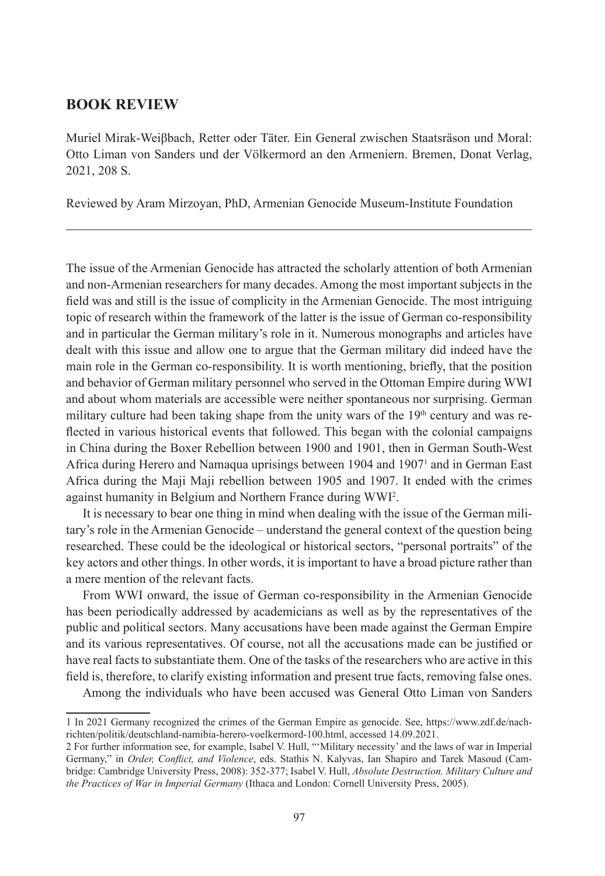## **BOOK REVIEW**

Muriel Mirak-Weiβbach, Retter oder Täter. Ein General zwischen Staatsräson und Moral: Otto Liman von Sanders und der Völkermord an den Armeniern. Bremen, Donat Verlag, 2021, 208 S.

Reviewed by Aram Mirzoyan, PhD, Armenian Genocide Museum-Institute Foundation

The issue of the Armenian Genocide has attracted the scholarly attention of both Armenian and non-Armenian researchers for many decades. Among the most important subjects in the field was and still is the issue of complicity in the Armenian Genocide. The most intriguing topic of research within the framework of the latter is the issue of German co-responsibility and in particular the German military's role in it. Numerous monographs and articles have dealt with this issue and allow one to argue that the German military did indeed have the main role in the German co-responsibility. It is worth mentioning, briefly, that the position and behavior of German military personnel who served in the Ottoman Empire during WWI and about whom materials are accessible were neither spontaneous nor surprising. German military culture had been taking shape from the unity wars of the  $19<sup>th</sup>$  century and was reflected in various historical events that followed. This began with the colonial campaigns in China during the Boxer Rebellion between 1900 and 1901, then in German South-West Africa during Herero and Namaqua uprisings between 1904 and 1907<sup>1</sup> and in German East Africa during the Maji Maji rebellion between 1905 and 1907. It ended with the crimes against humanity in Belgium and Northern France during WWI2 .

It is necessary to bear one thing in mind when dealing with the issue of the German military's role in the Armenian Genocide – understand the general context of the question being researched. These could be the ideological or historical sectors, "personal portraits" of the key actors and other things. In other words, it is important to have a broad picture rather than a mere mention of the relevant facts.

From WWI onward, the issue of German co-responsibility in the Armenian Genocide has been periodically addressed by academicians as well as by the representatives of the public and political sectors. Many accusations have been made against the German Empire and its various representatives. Of course, not all the accusations made can be justified or have real facts to substantiate them. One of the tasks of the researchers who are active in this field is, therefore, to clarify existing information and present true facts, removing false ones.

Among the individuals who have been accused was General Otto Liman von Sanders

<sup>1</sup> In 2021 Germany recognized the crimes of the German Empire as genocide. See, https://www.zdf.de/nachrichten/politik/deutschland-namibia-herero-voelkermord-100.html, accessed 14.09.2021.

<sup>2</sup> For further information see, for example, Isabel V. Hull, "'Military necessity' and the laws of war in Imperial Germany," in *Order, Conflict, and Violence*, eds. Stathis N. Kalyvas, Ian Shapiro and Tarek Masoud (Cambridge: Cambridge University Press, 2008): 352-377; Isabel V. Hull, *Absolute Destruction. Military Culture and the Practices of War in Imperial Germany* (Ithaca and London: Cornell University Press, 2005).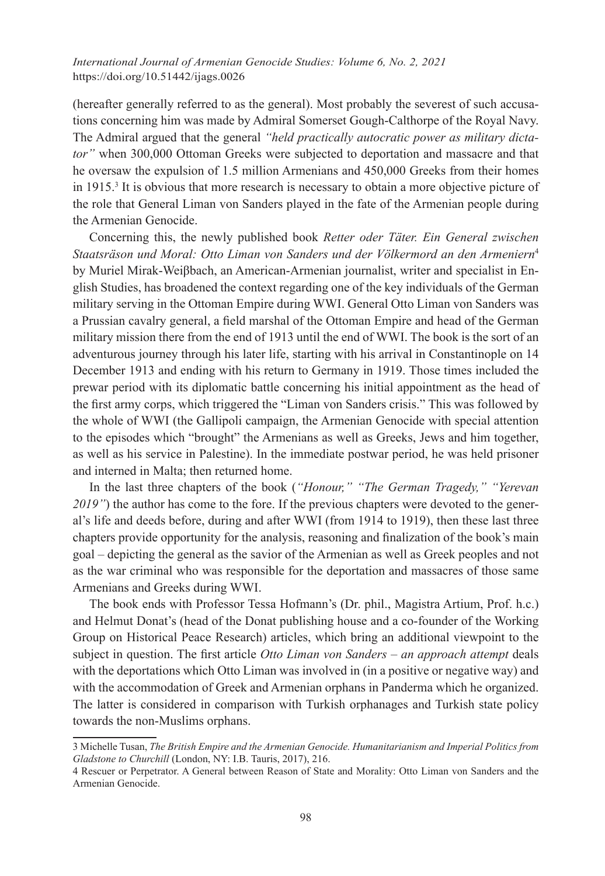## *International Journal of Armenian Genocide Studies: Volume 6, No. 2, 2021* https://doi.org/10.51442/ijags.0026

(hereafter generally referred to as the general). Most probably the severest of such accusations concerning him was made by Admiral Somerset Gough-Calthorpe of the Royal Navy. The Admiral argued that the general *"held practically autocratic power as military dictator"* when 300,000 Ottoman Greeks were subjected to deportation and massacre and that he oversaw the expulsion of 1.5 million Armenians and 450,000 Greeks from their homes in 1915.3 It is obvious that more research is necessary to obtain a more objective picture of the role that General Liman von Sanders played in the fate of the Armenian people during the Armenian Genocide.

Concerning this, the newly published book *Retter oder Täter. Ein General zwischen Staatsräson und Moral: Otto Liman von Sanders und der Völkermord an den Armeniern*<sup>4</sup> by Muriel Mirak-Weiβbach, an American-Armenian journalist, writer and specialist in English Studies, has broadened the context regarding one of the key individuals of the German military serving in the Ottoman Empire during WWI. General Otto Liman von Sanders was a Prussian cavalry general, a field marshal of the Ottoman Empire and head of the German military mission there from the end of 1913 until the end of WWI. The book is the sort of an adventurous journey through his later life, starting with his arrival in Constantinople on 14 December 1913 and ending with his return to Germany in 1919. Those times included the prewar period with its diplomatic battle concerning his initial appointment as the head of the first army corps, which triggered the "Liman von Sanders crisis." This was followed by the whole of WWI (the Gallipoli campaign, the Armenian Genocide with special attention to the episodes which "brought" the Armenians as well as Greeks, Jews and him together, as well as his service in Palestine). In the immediate postwar period, he was held prisoner and interned in Malta; then returned home.

In the last three chapters of the book (*"Honour," "The German Tragedy," "Yerevan 2019"*) the author has come to the fore. If the previous chapters were devoted to the general's life and deeds before, during and after WWI (from 1914 to 1919), then these last three chapters provide opportunity for the analysis, reasoning and finalization of the book's main goal – depicting the general as the savior of the Armenian as well as Greek peoples and not as the war criminal who was responsible for the deportation and massacres of those same Armenians and Greeks during WWI.

The book ends with Professor Tessa Hofmann's (Dr. phil., Magistra Artium, Prof. h.c.) and Helmut Donat's (head of the Donat publishing house and a co-founder of the Working Group on Historical Peace Research) articles, which bring an additional viewpoint to the subject in question. The first article *Otto Liman von Sanders – an approach attempt* deals with the deportations which Otto Liman was involved in (in a positive or negative way) and with the accommodation of Greek and Armenian orphans in Panderma which he organized. The latter is considered in comparison with Turkish orphanages and Turkish state policy towards the non-Muslims orphans.

<sup>3</sup> Michelle Tusan, *The British Empire and the Armenian Genocide. Humanitarianism and Imperial Politics from Gladstone to Churchill* (London, NY: I.B. Tauris, 2017), 216.

<sup>4</sup> Rescuer or Perpetrator. A General between Reason of State and Morality: Otto Liman von Sanders and the Armenian Genocide.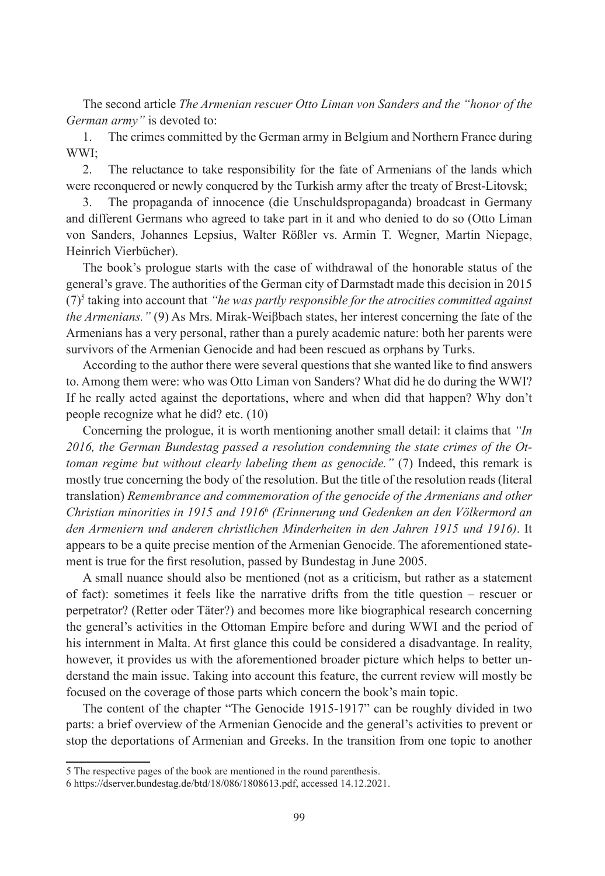The second article *The Armenian rescuer Otto Liman von Sanders and the "honor of the German army"* is devoted to:

1. The crimes committed by the German army in Belgium and Northern France during WWI;

2. The reluctance to take responsibility for the fate of Armenians of the lands which were reconquered or newly conquered by the Turkish army after the treaty of Brest-Litovsk;

3. The propaganda of innocence (die Unschuldspropaganda) broadcast in Germany and different Germans who agreed to take part in it and who denied to do so (Otto Liman von Sanders, Johannes Lepsius, Walter Rößler vs. Armin T. Wegner, Martin Niepage, Heinrich Vierbücher).

The book's prologue starts with the case of withdrawal of the honorable status of the general's grave. The authorities of the German city of Darmstadt made this decision in 2015  $(7)$ <sup>5</sup> taking into account that *"he was partly responsible for the atrocities committed against the Armenians."* (9) As Mrs. Mirak-Weiβbach states, her interest concerning the fate of the Armenians has a very personal, rather than a purely academic nature: both her parents were survivors of the Armenian Genocide and had been rescued as orphans by Turks.

According to the author there were several questions that she wanted like to find answers to. Among them were: who was Otto Liman von Sanders? What did he do during the WWI? If he really acted against the deportations, where and when did that happen? Why don't people recognize what he did? etc. (10)

Concerning the prologue, it is worth mentioning another small detail: it claims that *"In 2016, the German Bundestag passed a resolution condemning the state crimes of the Ottoman regime but without clearly labeling them as genocide."* (7) Indeed, this remark is mostly true concerning the body of the resolution. But the title of the resolution reads (literal translation) *Remembrance and commemoration of the genocide of the Armenians and other Christian minorities in 1915 and 1916*<sup>6</sup> *(Erinnerung und Gedenken an den Völkermord an den Armeniern und anderen christlichen Minderheiten in den Jahren 1915 und 1916)*. It appears to be a quite precise mention of the Armenian Genocide. The aforementioned statement is true for the first resolution, passed by Bundestag in June 2005.

A small nuance should also be mentioned (not as a criticism, but rather as a statement of fact): sometimes it feels like the narrative drifts from the title question – rescuer or perpetrator? (Retter oder Täter?) and becomes more like biographical research concerning the general's activities in the Ottoman Empire before and during WWI and the period of his internment in Malta. At first glance this could be considered a disadvantage. In reality, however, it provides us with the aforementioned broader picture which helps to better understand the main issue. Taking into account this feature, the current review will mostly be focused on the coverage of those parts which concern the book's main topic.

The content of the chapter "The Genocide 1915-1917" can be roughly divided in two parts: a brief overview of the Armenian Genocide and the general's activities to prevent or stop the deportations of Armenian and Greeks. In the transition from one topic to another

<sup>5</sup> The respective pages of the book are mentioned in the round parenthesis.

<sup>6</sup> https://dserver.bundestag.de/btd/18/086/1808613.pdf, accessed 14.12.2021.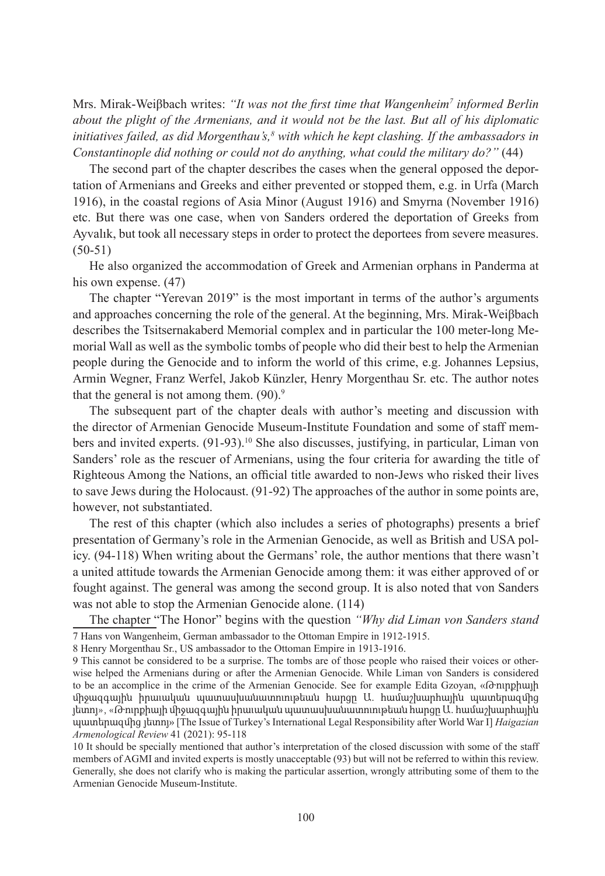Mrs. Mirak-Weiβbach writes: *"It was not the first time that Wangenheim<sup>7</sup> informed Berlin about the plight of the Armenians, and it would not be the last. But all of his diplomatic initiatives failed, as did Morgenthau's,<sup>8</sup> with which he kept clashing. If the ambassadors in Constantinople did nothing or could not do anything, what could the military do?"* (44)

The second part of the chapter describes the cases when the general opposed the deportation of Armenians and Greeks and either prevented or stopped them, e.g. in Urfa (March 1916), in the coastal regions of Asia Minor (August 1916) and Smyrna (November 1916) etc. But there was one case, when von Sanders ordered the deportation of Greeks from Ayvalık, but took all necessary steps in order to protect the deportees from severe measures.  $(50-51)$ 

He also organized the accommodation of Greek and Armenian orphans in Panderma at his own expense. (47)

The chapter "Yerevan 2019" is the most important in terms of the author's arguments and approaches concerning the role of the general. At the beginning, Mrs. Mirak-Weiβbach describes the Tsitsernakaberd Memorial complex and in particular the 100 meter-long Memorial Wall as well as the symbolic tombs of people who did their best to help the Armenian people during the Genocide and to inform the world of this crime, e.g. Johannes Lepsius, Armin Wegner, Franz Werfel, Jakob Künzler, Henry Morgenthau Sr. etc. The author notes that the general is not among them.  $(90)$ .<sup>9</sup>

The subsequent part of the chapter deals with author's meeting and discussion with the director of Armenian Genocide Museum-Institute Foundation and some of staff members and invited experts.  $(91-93)$ .<sup>10</sup> She also discusses, justifying, in particular, Liman von Sanders' role as the rescuer of Armenians, using the four criteria for awarding the title of Righteous Among the Nations, an official title awarded to non-Jews who risked their lives to save Jews during the Holocaust. (91-92) The approaches of the author in some points are, however, not substantiated.

The rest of this chapter (which also includes a series of photographs) presents a brief presentation of Germany's role in the Armenian Genocide, as well as British and USA policy. (94-118) When writing about the Germans' role, the author mentions that there wasn't a united attitude towards the Armenian Genocide among them: it was either approved of or fought against. The general was among the second group. It is also noted that von Sanders was not able to stop the Armenian Genocide alone. (114)

The chapter "The Honor" begins with the question *"Why did Liman von Sanders stand*  7 Hans von Wangenheim, German ambassador to the Ottoman Empire in 1912-1915.

8 Henry Morgenthau Sr., US ambassador to the Ottoman Empire in 1913-1916.

<sup>9</sup> This cannot be considered to be a surprise. The tombs are of those people who raised their voices or otherwise helped the Armenians during or after the Armenian Genocide. While Liman von Sanders is considered to be an accomplice in the crime of the Armenian Genocide. See for example Edita Gzoyan, «Թուրքիայի միջազգային իրաւական պատասխանատուութեան հարցը Ա. համաշխարհային պատերազմից յետոյ», «Թուրքիայի միջազգային իրաւական պատասխանատուութեան հարցը Ա. համաշխարհային պատերազմից յետոյ» [The Issue of Turkey's International Legal Responsibility after World War I] *Haigazian Armenological Review* 41 (2021): 95-118

<sup>10</sup> It should be specially mentioned that author's interpretation of the closed discussion with some of the staff members of AGMI and invited experts is mostly unacceptable (93) but will not be referred to within this review. Generally, she does not clarify who is making the particular assertion, wrongly attributing some of them to the Armenian Genocide Museum-Institute.